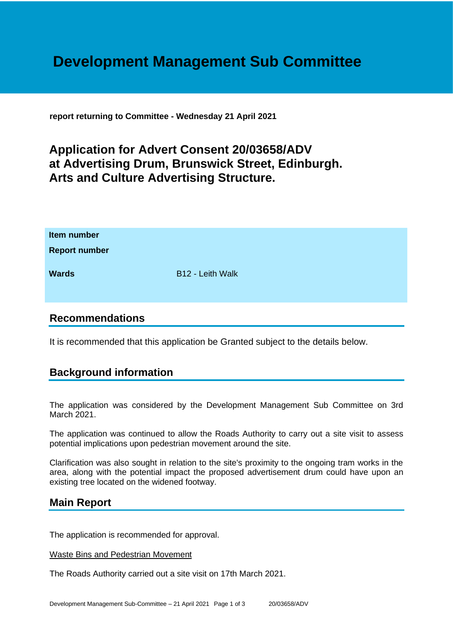# **Development Management Sub Committee**

**report returning to Committee - Wednesday 21 April 2021**

## **Application for Advert Consent 20/03658/ADV at Advertising Drum, Brunswick Street, Edinburgh. Arts and Culture Advertising Structure.**

| Item number<br><b>Report number</b> |                  |
|-------------------------------------|------------------|
| <b>Wards</b>                        | B12 - Leith Walk |

### **Recommendations**

It is recommended that this application be Granted subject to the details below.

## **Background information**

The application was considered by the Development Management Sub Committee on 3rd March 2021.

The application was continued to allow the Roads Authority to carry out a site visit to assess potential implications upon pedestrian movement around the site.

Clarification was also sought in relation to the site's proximity to the ongoing tram works in the area, along with the potential impact the proposed advertisement drum could have upon an existing tree located on the widened footway.

## **Main Report**

The application is recommended for approval.

#### Waste Bins and Pedestrian Movement

The Roads Authority carried out a site visit on 17th March 2021.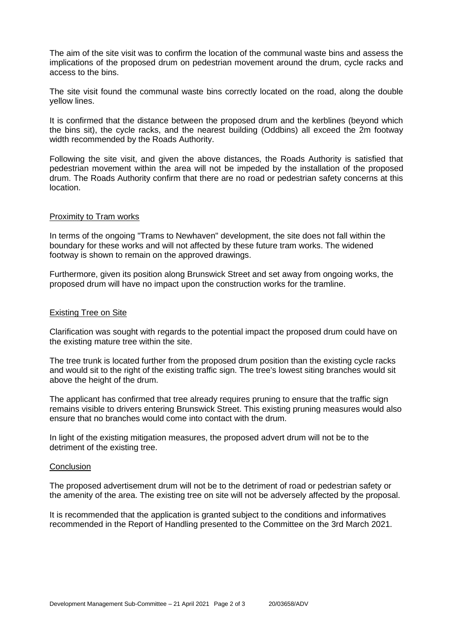The aim of the site visit was to confirm the location of the communal waste bins and assess the implications of the proposed drum on pedestrian movement around the drum, cycle racks and access to the bins.

The site visit found the communal waste bins correctly located on the road, along the double yellow lines.

It is confirmed that the distance between the proposed drum and the kerblines (beyond which the bins sit), the cycle racks, and the nearest building (Oddbins) all exceed the 2m footway width recommended by the Roads Authority.

Following the site visit, and given the above distances, the Roads Authority is satisfied that pedestrian movement within the area will not be impeded by the installation of the proposed drum. The Roads Authority confirm that there are no road or pedestrian safety concerns at this location.

#### Proximity to Tram works

In terms of the ongoing "Trams to Newhaven" development, the site does not fall within the boundary for these works and will not affected by these future tram works. The widened footway is shown to remain on the approved drawings.

Furthermore, given its position along Brunswick Street and set away from ongoing works, the proposed drum will have no impact upon the construction works for the tramline.

#### Existing Tree on Site

Clarification was sought with regards to the potential impact the proposed drum could have on the existing mature tree within the site.

The tree trunk is located further from the proposed drum position than the existing cycle racks and would sit to the right of the existing traffic sign. The tree's lowest siting branches would sit above the height of the drum.

The applicant has confirmed that tree already requires pruning to ensure that the traffic sign remains visible to drivers entering Brunswick Street. This existing pruning measures would also ensure that no branches would come into contact with the drum.

In light of the existing mitigation measures, the proposed advert drum will not be to the detriment of the existing tree.

#### **Conclusion**

The proposed advertisement drum will not be to the detriment of road or pedestrian safety or the amenity of the area. The existing tree on site will not be adversely affected by the proposal.

It is recommended that the application is granted subject to the conditions and informatives recommended in the Report of Handling presented to the Committee on the 3rd March 2021.